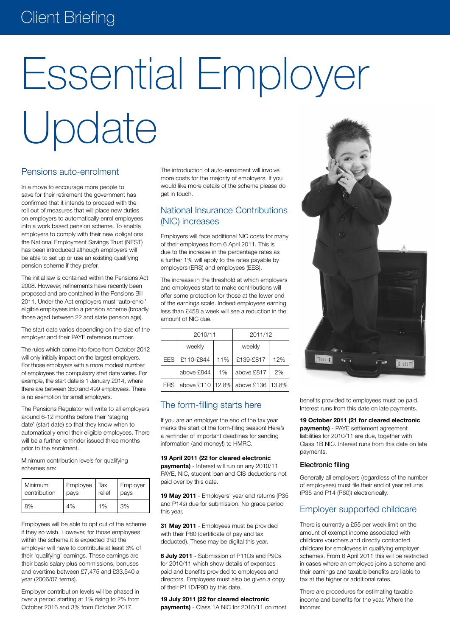# Client Briefing

# Essential Employer Update

# Pensions auto-enrolment

In a move to encourage more people to save for their retirement the government has confirmed that it intends to proceed with the roll out of measures that will place new duties on employers to automatically enrol employees into a work based pension scheme. To enable employers to comply with their new obligations the National Employment Savings Trust (NEST) has been introduced although employers will be able to set up or use an existing qualifying pension scheme if they prefer.

The initial law is contained within the Pensions Act 2008. However, refinements have recently been proposed and are contained in the Pensions Bill 2011. Under the Act employers must 'auto-enrol' eligible employees into a pension scheme (broadly those aged between 22 and state pension age).

The start date varies depending on the size of the employer and their PAYE reference number.

The rules which come into force from October 2012 will only initially impact on the largest employers. For those employers with a more modest number of employees the compulsory start date varies. For example, the start date is 1 January 2014, where there are between 350 and 499 employees. There is no exemption for small employers.

The Pensions Regulator will write to all employers around 6-12 months before their 'staging date' (start date) so that they know when to automatically enrol their eligible employees. There will be a further reminder issued three months prior to the enrolment.

Minimum contribution levels for qualifying schemes are:

| <b>Minimum</b> | Employee | Tax    | Employer |
|----------------|----------|--------|----------|
| contribution   | pays     | relief | pays     |
| 8%             | 4%       | 1%     | 3%       |

Employees will be able to opt out of the scheme if they so wish. However, for those employees within the scheme it is expected that the employer will have to contribute at least 3% of their 'qualifying' earnings. These earnings are their basic salary plus commissions, bonuses and overtime between £7,475 and £33,540 a year (2006/07 terms).

Employer contribution levels will be phased in over a period starting at 1% rising to 2% from October 2016 and 3% from October 2017.

The introduction of auto-enrolment will involve more costs for the majority of employers. If you would like more details of the scheme please do get in touch.

# National Insurance Contributions (NIC) increases

Employers will face additional NIC costs for many of their employees from 6 April 2011. This is due to the increase in the percentage rates as a further 1% will apply to the rates payable by employers (ERS) and employees (EES).

The increase in the threshold at which employers and employees start to make contributions will offer some protection for those at the lower end of the earnings scale. Indeed employees earning less than £458 a week will see a reduction in the amount of NIC due.

|            | 2010/11    |     | 2011/12                                 |     |
|------------|------------|-----|-----------------------------------------|-----|
|            | weekly     |     | weekly                                  |     |
| <b>EES</b> | £110-£844  | 11% | £139-£817                               | 12% |
|            | above £844 | 1%  | above £817                              | 2%  |
| <b>ERS</b> |            |     | above £110   12.8%   above £136   13.8% |     |

# The form-filling starts here

If you are an employer the end of the tax year marks the start of the form-filling season! Here's a reminder of important deadlines for sending information (and money!) to HMRC.

# **19 April 2011 (22 for cleared electronic payments)** - Interest will run on any 2010/11

PAYE, NIC, student loan and CIS deductions not paid over by this date.

**19 May 2011** - Employers' year end returns (P35 and P14s) due for submission. No grace period this year.

**31 May 2011** - Employees must be provided with their P60 (certificate of pay and tax deducted). These may be digital this year.

**6 July 2011** - Submission of P11Ds and P9Ds for 2010/11 which show details of expenses paid and benefits provided to employees and directors. Employees must also be given a copy of their P11D/P9D by this date.

**19 July 2011 (22 for cleared electronic payments)** - Class 1A NIC for 2010/11 on most



benefits provided to employees must be paid. Interest runs from this date on late payments.

#### **19 October 2011 (21 for cleared electronic**

**payments)** - PAYE settlement agreement liabilities for 2010/11 are due, together with Class 1B NIC. Interest runs from this date on late payments.

#### Electronic filing

Generally all employers (regardless of the number of employees) must file their end of year returns (P35 and P14 (P60)) electronically.

# Employer supported childcare

There is currently a £55 per week limit on the amount of exempt income associated with childcare vouchers and directly contracted childcare for employees in qualifying employer schemes. From 6 April 2011 this will be restricted in cases where an employee joins a scheme and their earnings and taxable benefits are liable to tax at the higher or additional rates.

There are procedures for estimating taxable income and benefits for the year. Where the income: